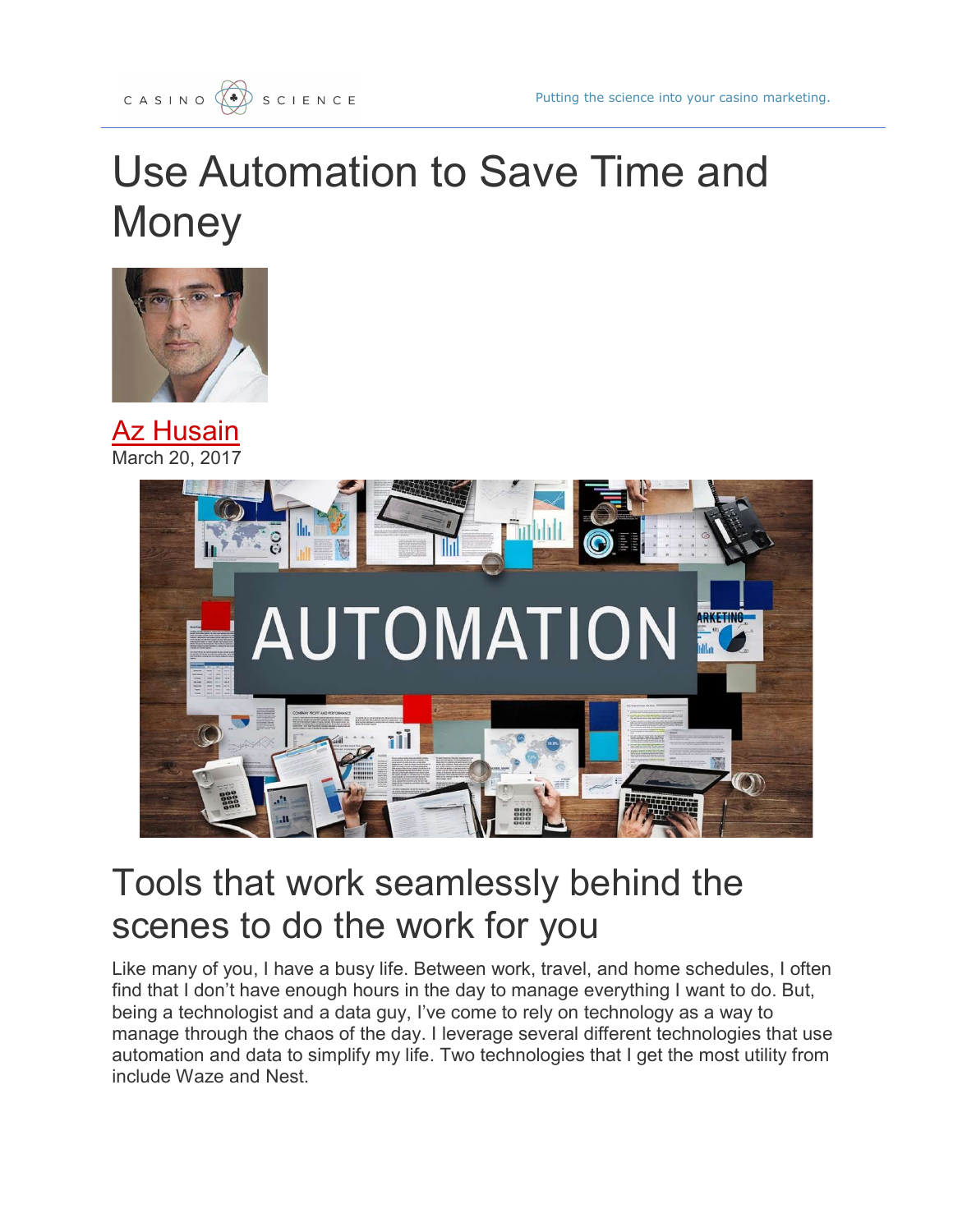## Use Automation to Save Time and **Money**



**Az Husain** March 20, 2017



## Tools that work seamlessly behind the scenes to do the work for you

Like many of you, I have a busy life. Between work, travel, and home schedules, I often find that I don't have enough hours in the day to manage everything I want to do. But, being a technologist and a data guy, I've come to rely on technology as a way to manage through the chaos of the day. I leverage several different technologies that use automation and data to simplify my life. Two technologies that I get the most utility from include Waze and Nest.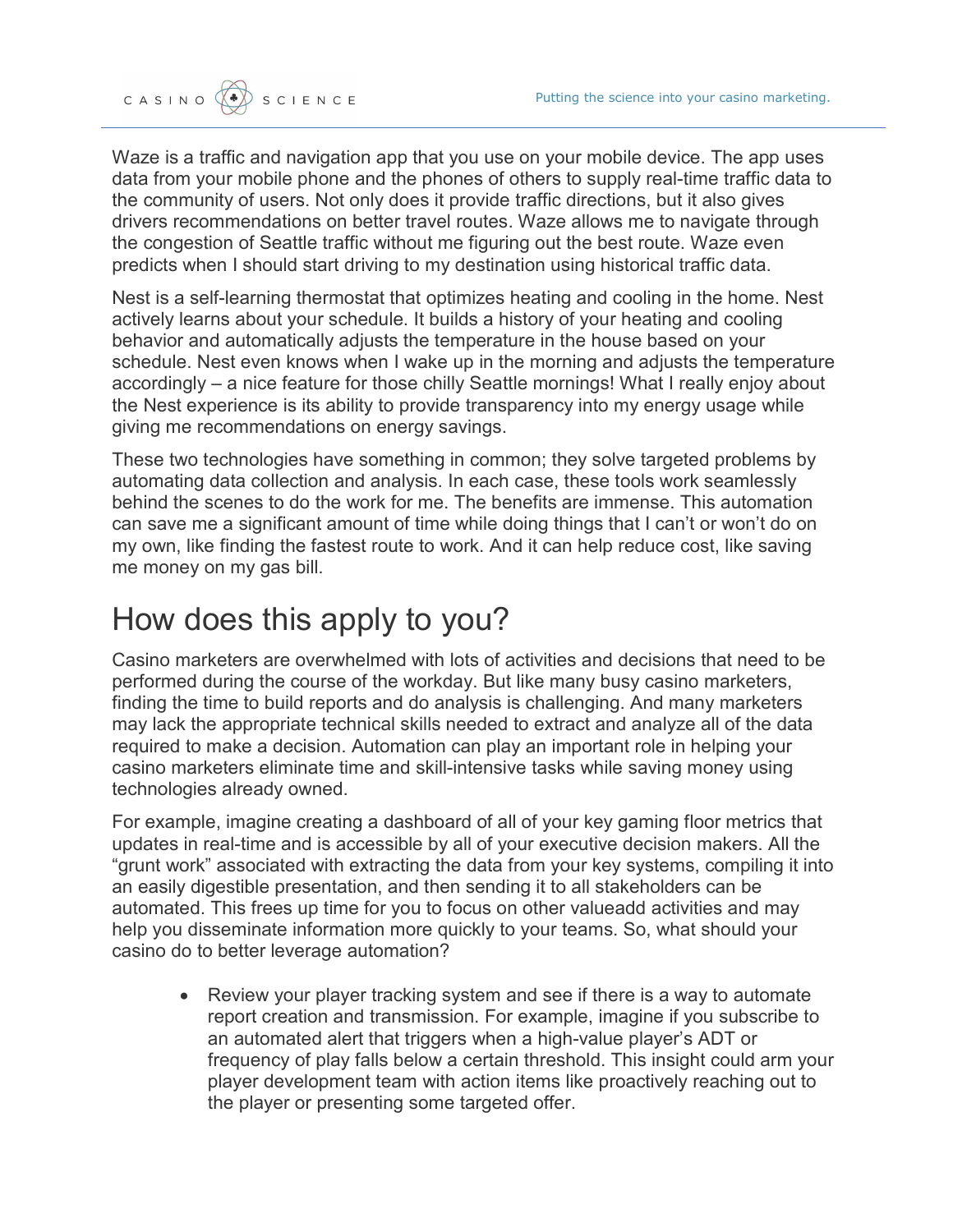

Waze is a traffic and navigation app that you use on your mobile device. The app uses data from your mobile phone and the phones of others to supply real-time traffic data to the community of users. Not only does it provide traffic directions, but it also gives drivers recommendations on better travel routes. Waze allows me to navigate through the congestion of Seattle traffic without me figuring out the best route. Waze even predicts when I should start driving to my destination using historical traffic data.

Nest is a self-learning thermostat that optimizes heating and cooling in the home. Nest actively learns about your schedule. It builds a history of your heating and cooling behavior and automatically adjusts the temperature in the house based on your schedule. Nest even knows when I wake up in the morning and adjusts the temperature accordingly – a nice feature for those chilly Seattle mornings! What I really enjoy about the Nest experience is its ability to provide transparency into my energy usage while giving me recommendations on energy savings.

These two technologies have something in common; they solve targeted problems by automating data collection and analysis. In each case, these tools work seamlessly behind the scenes to do the work for me. The benefits are immense. This automation can save me a significant amount of time while doing things that I can't or won't do on my own, like finding the fastest route to work. And it can help reduce cost, like saving me money on my gas bill.

## How does this apply to you?

Casino marketers are overwhelmed with lots of activities and decisions that need to be performed during the course of the workday. But like many busy casino marketers, finding the time to build reports and do analysis is challenging. And many marketers may lack the appropriate technical skills needed to extract and analyze all of the data required to make a decision. Automation can play an important role in helping your casino marketers eliminate time and skill-intensive tasks while saving money using technologies already owned.

For example, imagine creating a dashboard of all of your key gaming floor metrics that updates in real-time and is accessible by all of your executive decision makers. All the "grunt work" associated with extracting the data from your key systems, compiling it into an easily digestible presentation, and then sending it to all stakeholders can be automated. This frees up time for you to focus on other valueadd activities and may help you disseminate information more quickly to your teams. So, what should your casino do to better leverage automation?

• Review your player tracking system and see if there is a way to automate report creation and transmission. For example, imagine if you subscribe to an automated alert that triggers when a high-value player's ADT or frequency of play falls below a certain threshold. This insight could arm your player development team with action items like proactively reaching out to the player or presenting some targeted offer.